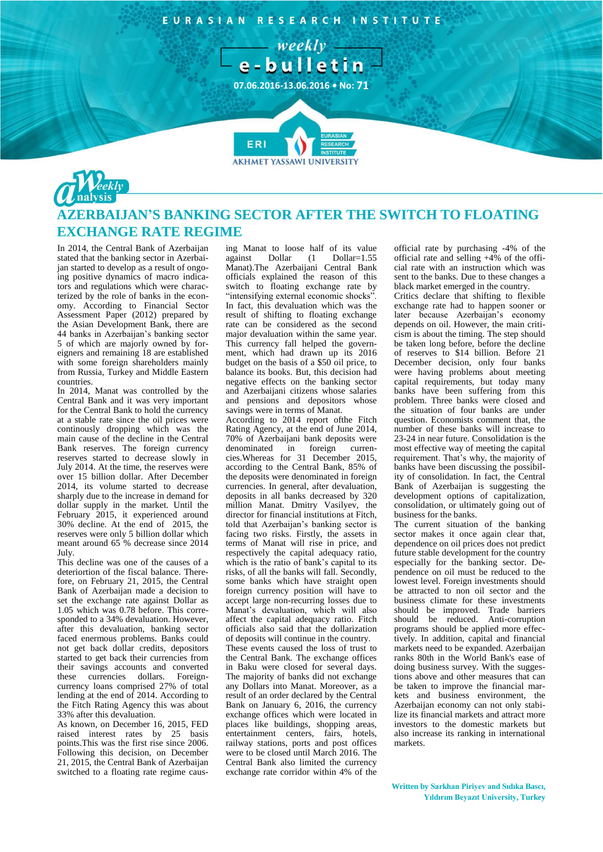EURASIAN RESEARCH INSTITUTE





## **AZERBAIJAN'S BANKING SECTOR AFTER THE SWITCH TO FLOATING EXCHANGE RATE REGIME**

**AKHMET YASSAWI UNIVERSIT** 

In 2014, the Central Bank of Azerbaijan stated that the banking sector in Azerbaijan started to develop as a result of ongoing positive dynamics of macro indicators and regulations which were characterized by the role of banks in the economy. According to Financial Sector Assessment Paper (2012) prepared by the Asian Development Bank, there are 44 banks in Azerbaijan's banking sector 5 of which are majorly owned by foreigners and remaining 18 are established with some foreign shareholders mainly from Russia, Turkey and Middle Eastern countries.

In 2014, Manat was controlled by the Central Bank and it was very important for the Central Bank to hold the currency at a stable rate since the oil prices were continously dropping which was the main cause of the decline in the Central Bank reserves. The foreign currency reserves started to decrease slowly in July 2014. At the time, the reserves were over 15 billion dollar. After December 2014, its volume started to decrease sharply due to the increase in demand for dollar supply in the market. Until the February 2015, it experienced around 30% decline. At the end of 2015, the reserves were only 5 billion dollar which meant around 65 % decrease since 2014 July.

This decline was one of the causes of a deteriortion of the fiscal balance. Therefore, on February 21, 2015, the Central Bank of Azerbaijan made a decision to set the exchange rate against Dollar as 1.05 which was 0.78 before. This corresponded to a 34% devaluation. However, after this devaluation, banking sector faced enermous problems. Banks could not get back dollar credits, depositors started to get back their currencies from their savings accounts and converted these currencies dollars. Foreigncurrency loans comprised 27% of total lending at the end of 2014. According to the Fitch Rating Agency this was about 33% after this devaluation.

As known, on December 16, 2015, FED raised interest rates by 25 basis points.This was the first rise since 2006. Following this decision, on December 21, 2015, the Central Bank of Azerbaijan switched to a floating rate regime causing Manat to loose half of its value<br>against Dollar (1 Dollar=1.55 Dollar (1 Manat).The Azerbaijani Central Bank officials explained the reason of this switch to floating exchange rate by "intensifying external economic shocks". In fact, this devaluation which was the result of shifting to floating exchange rate can be considered as the second major devaluation within the same year. This currency fall helped the government, which had drawn up its 2016 budget on the basis of a \$50 oil price, to balance its books. But, this decision had negative effects on the banking sector and Azerbaijani citizens whose salaries and pensions and depositors whose savings were in terms of Manat.

According to 2014 report ofthe Fitch Rating Agency, at the end of June 2014, 70% of Azerbaijani bank deposits were denominated in foreign currencies.Whereas for 31 December 2015, according to the Central Bank, 85% of the deposits were denominated in foreign currencies. In general, after devaluation, deposits in all banks decreased by 320 million Manat. Dmitry Vasilyev, the director for financial institutions at Fitch, told that Azerbaijan's banking sector is facing two risks. Firstly, the assets in terms of Manat will rise in price, and respectively the capital adequacy ratio, which is the ratio of bank's capital to its risks, of all the banks will fall. Secondly, some banks which have straight open foreign currency position will have to accept large non-recurring losses due to Manat's devaluation, which will also affect the capital adequacy ratio. Fitch officials also said that the dollarization of deposits will continue in the country. These events caused the loss of trust to the Central Bank. The exchange offices in Baku were closed for several days. The majority of banks did not exchange any Dollars into Manat. Moreover, as a result of an order declared by the Central Bank on January 6, 2016, the currency exchange offices which were located in places like buildings, shopping areas, entertainment centers, fairs, hotels, railway stations, ports and post offices were to be closed until March 2016. The Central Bank also limited the currency exchange rate corridor within 4% of the

official rate by purchasing -4% of the official rate and selling +4% of the official rate with an instruction which was sent to the banks. Due to these changes a black market emerged in the country.

Critics declare that shifting to flexible exchange rate had to happen sooner or later because Azerbaijan's economy depends on oil. However, the main criticism is about the timing. The step should be taken long before, before the decline of reserves to \$14 billion. Before 21 December decision, only four banks were having problems about meeting capital requirements, but today many banks have been suffering from this problem. Three banks were closed and the situation of four banks are under question. Economists comment that, the number of these banks will increase to 23-24 in near future. Consolidation is the most effective way of meeting the capital requirement. That's why, the majority of banks have been discussing the possibility of consolidation. In fact, the Central Bank of Azerbaijan is suggesting the development options of capitalization, consolidation, or ultimately going out of business for the banks.

The current situation of the banking sector makes it once again clear that, dependence on oil prices does not predict future stable development for the country especially for the banking sector. Dependence on oil must be reduced to the lowest level. Foreign investments should be attracted to non oil sector and the business climate for these investments should be improved. Trade barriers should be reduced. Anti-corruption programs should be applied more effectively. In addition, capital and financial markets need to be expanded. Azerbaijan ranks 80th in the World Bank's ease of doing business survey. With the suggestions above and other measures that can be taken to improve the financial markets and business environment, the Azerbaijan economy can not only stabilize its financial markets and attract more investors to the domestic markets but also increase its ranking in international markets.

**Written by Sarkhan Piriyev and Sıdıka Bascı, Yıldırım Beyazıt University, Turkey**